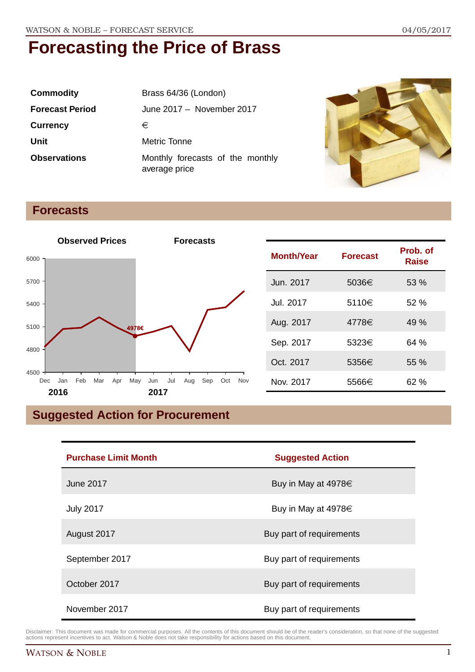| <b>Commodity</b>       | Brass 64/36 (London)                              |
|------------------------|---------------------------------------------------|
| <b>Forecast Period</b> | June 2017 - November 2017                         |
| <b>Currency</b>        | €                                                 |
| Unit                   | Metric Tonne                                      |
| <b>Observations</b>    | Monthly forecasts of the monthly<br>average price |



### **Forecasts**



## **Suggested Action for Procurement**

| <b>Purchase Limit Month</b> | <b>Suggested Action</b>  |
|-----------------------------|--------------------------|
| <b>June 2017</b>            | Buy in May at 4978€      |
| <b>July 2017</b>            | Buy in May at 4978€      |
| August 2017                 | Buy part of requirements |
| September 2017              | Buy part of requirements |
| October 2017                | Buy part of requirements |
| November 2017               | Buy part of requirements |

Disclaimer: This document was made for commercial purposes. All the contents of this document should be of the reader's consideration, so that none of the suggested actions represent incentives to act. Watson & Noble does not take responsibility for actions based on this document.

**Raise**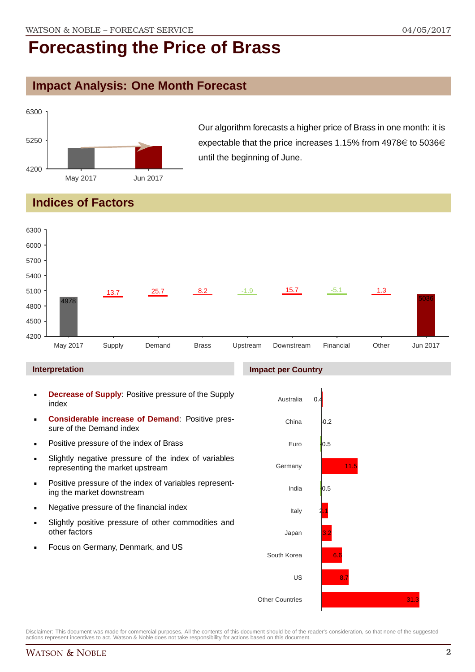## **Impact Analysis: One Month Forecast**



Our algorithm forecasts a higher price of Brass in one month: it is expectable that the price increases 1.15% from 4978 $\in$  to 5036 $\in$ until the beginning of June.

## **Indices of Factors**



#### **Interpretation**

- **Decrease of Supply**: Positive pressure of the Supply index
- **Considerable increase of Demand**: Positive pressure of the Demand index
- **Positive pressure of the index of Brass**
- Slightly negative pressure of the index of variables representing the market upstream
- **Positive pressure of the index of variables represent**ing the market downstream
- **Negative pressure of the financial index**
- Slightly positive pressure of other commodities and other factors
- Focus on Germany, Denmark, and US

#### **Impact per Country**

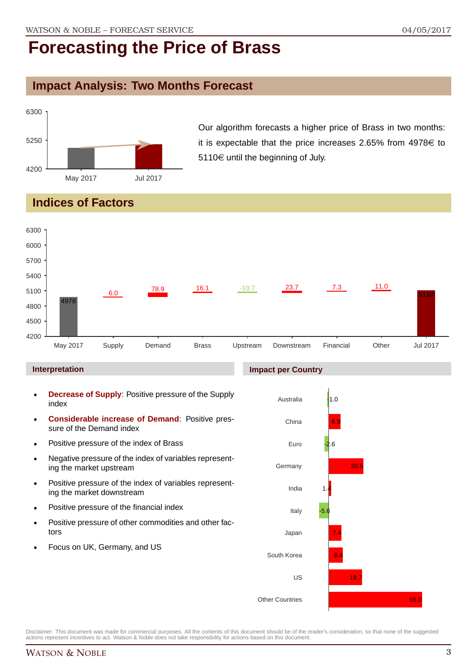### **Impact Analysis: Two Months Forecast**



Our algorithm forecasts a higher price of Brass in two months: it is expectable that the price increases 2.65% from  $4978 \in$  to  $5110 \in$  until the beginning of July.

## **Indices of Factors**

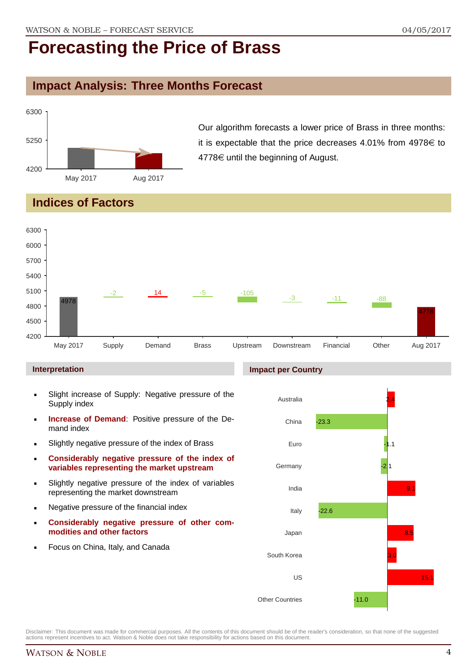## **Impact Analysis: Three Months Forecast**



Our algorithm forecasts a lower price of Brass in three months: it is expectable that the price decreases 4.01% from  $4978 \in$  to  $4778 \in \mathsf{until}$  the beginning of August.

### **Indices of Factors**



#### **Interpretation**

- Slight increase of Supply: Negative pressure of the Supply index
- **Increase of Demand**: Positive pressure of the Demand index
- **Slightly negative pressure of the index of Brass**
- **Considerably negative pressure of the index of variables representing the market upstream**
- Slightly negative pressure of the index of variables representing the market downstream
- **Negative pressure of the financial index**
- **Considerably negative pressure of other commodities and other factors**
- Focus on China, Italy, and Canada

### **Impact per Country**

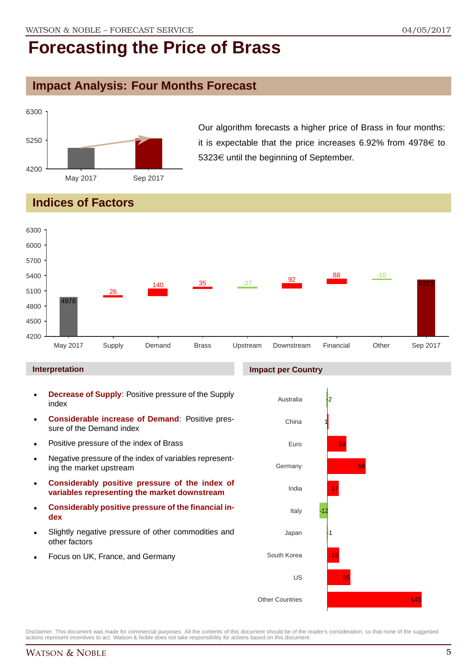## **Impact Analysis: Four Months Forecast**



Our algorithm forecasts a higher price of Brass in four months: it is expectable that the price increases 6.92% from  $4978 \in$  to 5323€ until the beginning of September.

## **Indices of Factors**



#### **Interpretation**

- **Decrease of Supply**: Positive pressure of the Supply index
- **Considerable increase of Demand**: Positive pressure of the Demand index
- **Positive pressure of the index of Brass**
- Negative pressure of the index of variables representing the market upstream
- **Considerably positive pressure of the index of variables representing the market downstream**
- **Considerably positive pressure of the financial index**
- Slightly negative pressure of other commodities and other factors
- Focus on UK, France, and Germany

#### **Impact per Country**

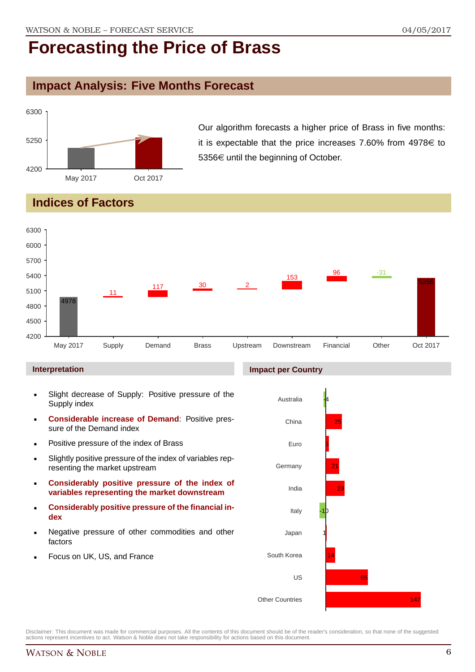### **Impact Analysis: Five Months Forecast**



Our algorithm forecasts a higher price of Brass in five months: it is expectable that the price increases 7.60% from  $4978 \in$  to 5356€ until the beginning of October.

## **Indices of Factors**



#### **Interpretation**

- Slight decrease of Supply: Positive pressure of the Supply index
- **Considerable increase of Demand**: Positive pressure of the Demand index
- **Positive pressure of the index of Brass**
- Slightly positive pressure of the index of variables representing the market upstream
- **Considerably positive pressure of the index of variables representing the market downstream**
- **Considerably positive pressure of the financial index**
- Negative pressure of other commodities and other factors
- Focus on UK, US, and France

#### **Impact per Country**

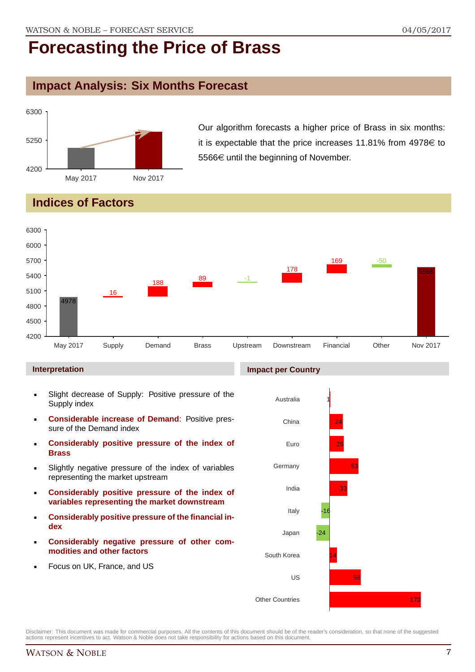### **Impact Analysis: Six Months Forecast**



Our algorithm forecasts a higher price of Brass in six months: it is expectable that the price increases 11.81% from  $4978 \in$  to 5566€ until the beginning of November.

## **Indices of Factors**



#### **Interpretation**

- Slight decrease of Supply: Positive pressure of the Supply index
- **Considerable increase of Demand**: Positive pressure of the Demand index
- **Considerably positive pressure of the index of Brass**
- Slightly negative pressure of the index of variables representing the market upstream
- **Considerably positive pressure of the index of variables representing the market downstream**
- **Considerably positive pressure of the financial index**
- **Considerably negative pressure of other commodities and other factors**
- Focus on UK, France, and US

### Australia China Euro **Germany** 1 24 26 53

**Impact per Country**

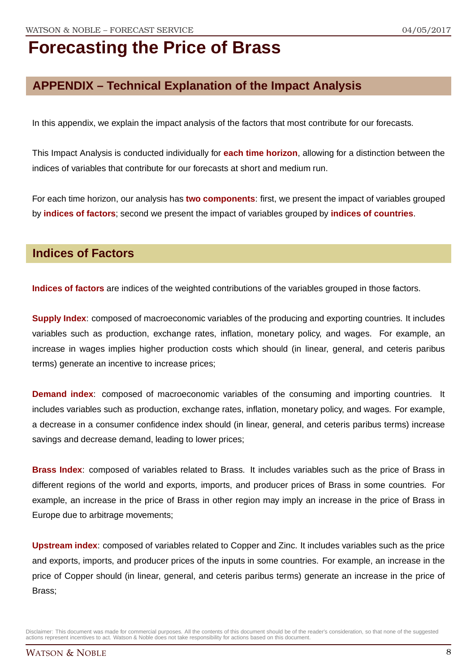## **APPENDIX – Technical Explanation of the Impact Analysis**

In this appendix, we explain the impact analysis of the factors that most contribute for our forecasts.

This Impact Analysis is conducted individually for **each time horizon**, allowing for a distinction between the indices of variables that contribute for our forecasts at short and medium run.

For each time horizon, our analysis has **two components**: first, we present the impact of variables grouped by **indices of factors**; second we present the impact of variables grouped by **indices of countries**.

### **Indices of Factors**

**Indices of factors** are indices of the weighted contributions of the variables grouped in those factors.

**Supply Index**: composed of macroeconomic variables of the producing and exporting countries. It includes variables such as production, exchange rates, inflation, monetary policy, and wages. For example, an increase in wages implies higher production costs which should (in linear, general, and ceteris paribus terms) generate an incentive to increase prices;

**Demand index**: composed of macroeconomic variables of the consuming and importing countries. It includes variables such as production, exchange rates, inflation, monetary policy, and wages. For example, a decrease in a consumer confidence index should (in linear, general, and ceteris paribus terms) increase savings and decrease demand, leading to lower prices;

**Brass Index**: composed of variables related to Brass. It includes variables such as the price of Brass in different regions of the world and exports, imports, and producer prices of Brass in some countries. For example, an increase in the price of Brass in other region may imply an increase in the price of Brass in Europe due to arbitrage movements;

**Upstream index**: composed of variables related to Copper and Zinc. It includes variables such as the price and exports, imports, and producer prices of the inputs in some countries. For example, an increase in the price of Copper should (in linear, general, and ceteris paribus terms) generate an increase in the price of Brass;